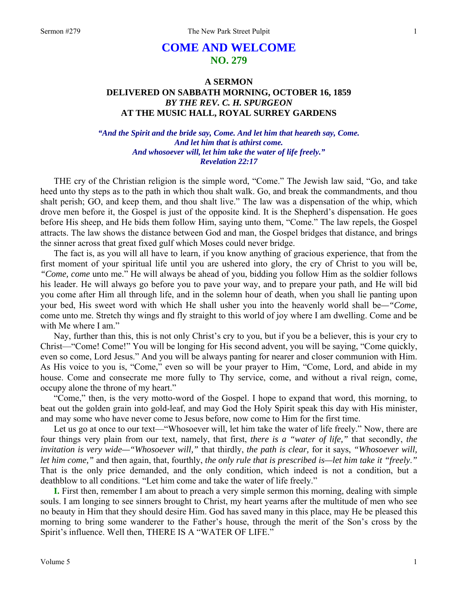# **COME AND WELCOME NO. 279**

## **A SERMON DELIVERED ON SABBATH MORNING, OCTOBER 16, 1859**  *BY THE REV. C. H. SPURGEON*  **AT THE MUSIC HALL, ROYAL SURREY GARDENS**

### *"And the Spirit and the bride say, Come. And let him that heareth say, Come. And let him that is athirst come. And whosoever will, let him take the water of life freely." Revelation 22:17*

THE cry of the Christian religion is the simple word, "Come." The Jewish law said, "Go, and take heed unto thy steps as to the path in which thou shalt walk. Go, and break the commandments, and thou shalt perish; GO, and keep them, and thou shalt live." The law was a dispensation of the whip, which drove men before it, the Gospel is just of the opposite kind. It is the Shepherd's dispensation. He goes before His sheep, and He bids them follow Him, saying unto them, "Come." The law repels, the Gospel attracts. The law shows the distance between God and man, the Gospel bridges that distance, and brings the sinner across that great fixed gulf which Moses could never bridge.

The fact is, as you will all have to learn, if you know anything of gracious experience, that from the first moment of your spiritual life until you are ushered into glory, the cry of Christ to you will be, *"Come, come* unto me." He will always be ahead of you, bidding you follow Him as the soldier follows his leader. He will always go before you to pave your way, and to prepare your path, and He will bid you come after Him all through life, and in the solemn hour of death, when you shall lie panting upon your bed, His sweet word with which He shall usher you into the heavenly world shall be*—"Come,* come unto me. Stretch thy wings and fly straight to this world of joy where I am dwelling. Come and be with Me where I am."

Nay, further than this, this is not only Christ's cry to you, but if you be a believer, this is your cry to Christ—"Come! Come!" You will be longing for His second advent, you will be saying, "Come quickly, even so come, Lord Jesus." And you will be always panting for nearer and closer communion with Him. As His voice to you is, "Come," even so will be your prayer to Him, "Come, Lord, and abide in my house. Come and consecrate me more fully to Thy service, come, and without a rival reign, come, occupy alone the throne of my heart."

"Come," then, is the very motto-word of the Gospel. I hope to expand that word, this morning, to beat out the golden grain into gold-leaf, and may God the Holy Spirit speak this day with His minister, and may some who have never come to Jesus before, now come to Him for the first time.

Let us go at once to our text—"Whosoever will, let him take the water of life freely." Now, there are four things very plain from our text, namely, that first, *there is a "water of life,"* that secondly, *the invitation is very wide—"Whosoever will,"* that thirdly, *the path is clear,* for it says, *"Whosoever will, let him come,"* and then again, that, fourthly, *the only rule that is prescribed is—let him take it "freely*.*"* That is the only price demanded, and the only condition, which indeed is not a condition, but a deathblow to all conditions. "Let him come and take the water of life freely."

**I.** First then, remember I am about to preach a very simple sermon this morning, dealing with simple souls. I am longing to see sinners brought to Christ, my heart yearns after the multitude of men who see no beauty in Him that they should desire Him. God has saved many in this place, may He be pleased this morning to bring some wanderer to the Father's house, through the merit of the Son's cross by the Spirit's influence. Well then, THERE IS A "WATER OF LIFE."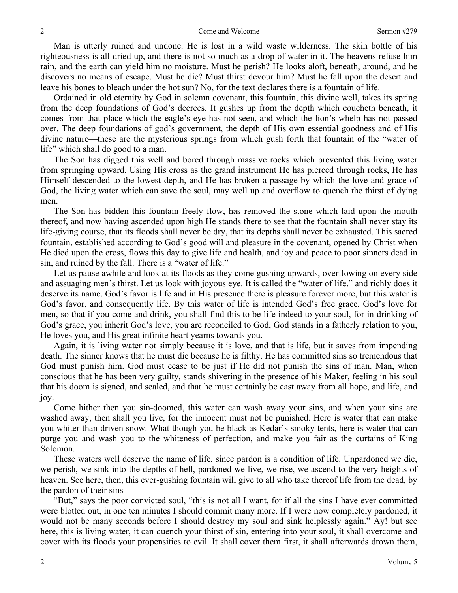Man is utterly ruined and undone. He is lost in a wild waste wilderness. The skin bottle of his righteousness is all dried up, and there is not so much as a drop of water in it. The heavens refuse him rain, and the earth can yield him no moisture. Must he perish? He looks aloft, beneath, around, and he discovers no means of escape. Must he die? Must thirst devour him? Must he fall upon the desert and leave his bones to bleach under the hot sun? No, for the text declares there is a fountain of life.

Ordained in old eternity by God in solemn covenant, this fountain, this divine well, takes its spring from the deep foundations of God's decrees. It gushes up from the depth which coucheth beneath, it comes from that place which the eagle's eye has not seen, and which the lion's whelp has not passed over. The deep foundations of god's government, the depth of His own essential goodness and of His divine nature—these are the mysterious springs from which gush forth that fountain of the "water of life" which shall do good to a man.

The Son has digged this well and bored through massive rocks which prevented this living water from springing upward. Using His cross as the grand instrument He has pierced through rocks, He has Himself descended to the lowest depth, and He has broken a passage by which the love and grace of God, the living water which can save the soul, may well up and overflow to quench the thirst of dying men.

The Son has bidden this fountain freely flow, has removed the stone which laid upon the mouth thereof, and now having ascended upon high He stands there to see that the fountain shall never stay its life-giving course, that its floods shall never be dry, that its depths shall never be exhausted. This sacred fountain, established according to God's good will and pleasure in the covenant, opened by Christ when He died upon the cross, flows this day to give life and health, and joy and peace to poor sinners dead in sin, and ruined by the fall. There is a "water of life."

Let us pause awhile and look at its floods as they come gushing upwards, overflowing on every side and assuaging men's thirst. Let us look with joyous eye. It is called the "water of life," and richly does it deserve its name. God's favor is life and in His presence there is pleasure forever more, but this water is God's favor, and consequently life. By this water of life is intended God's free grace, God's love for men, so that if you come and drink, you shall find this to be life indeed to your soul, for in drinking of God's grace, you inherit God's love, you are reconciled to God, God stands in a fatherly relation to you, He loves you, and His great infinite heart yearns towards you.

Again, it is living water not simply because it is love, and that is life, but it saves from impending death. The sinner knows that he must die because he is filthy. He has committed sins so tremendous that God must punish him. God must cease to be just if He did not punish the sins of man. Man, when conscious that he has been very guilty, stands shivering in the presence of his Maker, feeling in his soul that his doom is signed, and sealed, and that he must certainly be cast away from all hope, and life, and joy.

Come hither then you sin-doomed, this water can wash away your sins, and when your sins are washed away, then shall you live, for the innocent must not be punished. Here is water that can make you whiter than driven snow. What though you be black as Kedar's smoky tents, here is water that can purge you and wash you to the whiteness of perfection, and make you fair as the curtains of King Solomon.

These waters well deserve the name of life, since pardon is a condition of life. Unpardoned we die, we perish, we sink into the depths of hell, pardoned we live, we rise, we ascend to the very heights of heaven. See here, then, this ever-gushing fountain will give to all who take thereof life from the dead, by the pardon of their sins

"But," says the poor convicted soul, "this is not all I want, for if all the sins I have ever committed were blotted out, in one ten minutes I should commit many more. If I were now completely pardoned, it would not be many seconds before I should destroy my soul and sink helplessly again." Ay! but see here, this is living water, it can quench your thirst of sin, entering into your soul, it shall overcome and cover with its floods your propensities to evil. It shall cover them first, it shall afterwards drown them,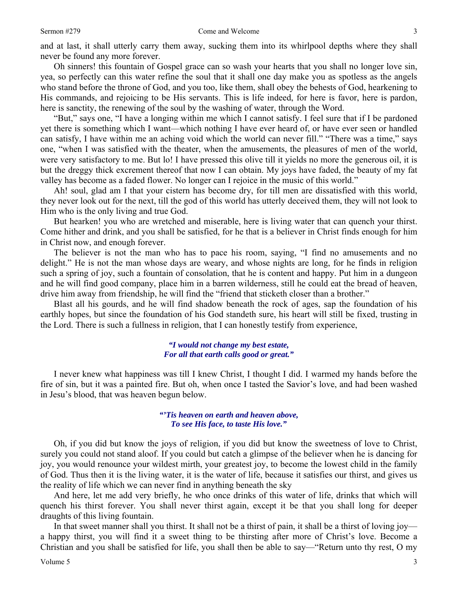Oh sinners! this fountain of Gospel grace can so wash your hearts that you shall no longer love sin, yea, so perfectly can this water refine the soul that it shall one day make you as spotless as the angels who stand before the throne of God, and you too, like them, shall obey the behests of God, hearkening to His commands, and rejoicing to be His servants. This is life indeed, for here is favor, here is pardon, here is sanctity, the renewing of the soul by the washing of water, through the Word.

"But," says one, "I have a longing within me which I cannot satisfy. I feel sure that if I be pardoned yet there is something which I want—which nothing I have ever heard of, or have ever seen or handled can satisfy, I have within me an aching void which the world can never fill." "There was a time," says one, "when I was satisfied with the theater, when the amusements, the pleasures of men of the world, were very satisfactory to me. But lo! I have pressed this olive till it yields no more the generous oil, it is but the dreggy thick excrement thereof that now I can obtain. My joys have faded, the beauty of my fat valley has become as a faded flower. No longer can I rejoice in the music of this world."

Ah! soul, glad am I that your cistern has become dry, for till men are dissatisfied with this world, they never look out for the next, till the god of this world has utterly deceived them, they will not look to Him who is the only living and true God.

But hearken! you who are wretched and miserable, here is living water that can quench your thirst. Come hither and drink, and you shall be satisfied, for he that is a believer in Christ finds enough for him in Christ now, and enough forever.

The believer is not the man who has to pace his room, saying, "I find no amusements and no delight." He is not the man whose days are weary, and whose nights are long, for he finds in religion such a spring of joy, such a fountain of consolation, that he is content and happy. Put him in a dungeon and he will find good company, place him in a barren wilderness, still he could eat the bread of heaven, drive him away from friendship, he will find the "friend that sticketh closer than a brother."

Blast all his gourds, and he will find shadow beneath the rock of ages, sap the foundation of his earthly hopes, but since the foundation of his God standeth sure, his heart will still be fixed, trusting in the Lord. There is such a fullness in religion, that I can honestly testify from experience,

#### *"I would not change my best estate, For all that earth calls good or great."*

I never knew what happiness was till I knew Christ, I thought I did. I warmed my hands before the fire of sin, but it was a painted fire. But oh, when once I tasted the Savior's love, and had been washed in Jesu's blood, that was heaven begun below.

#### *"'Tis heaven on earth and heaven above, To see His face, to taste His love."*

Oh, if you did but know the joys of religion, if you did but know the sweetness of love to Christ, surely you could not stand aloof. If you could but catch a glimpse of the believer when he is dancing for joy, you would renounce your wildest mirth, your greatest joy, to become the lowest child in the family of God. Thus then it is the living water, it is the water of life, because it satisfies our thirst, and gives us the reality of life which we can never find in anything beneath the sky

And here, let me add very briefly, he who once drinks of this water of life, drinks that which will quench his thirst forever. You shall never thirst again, except it be that you shall long for deeper draughts of this living fountain.

In that sweet manner shall you thirst. It shall not be a thirst of pain, it shall be a thirst of loving joy a happy thirst, you will find it a sweet thing to be thirsting after more of Christ's love. Become a Christian and you shall be satisfied for life, you shall then be able to say—"Return unto thy rest, O my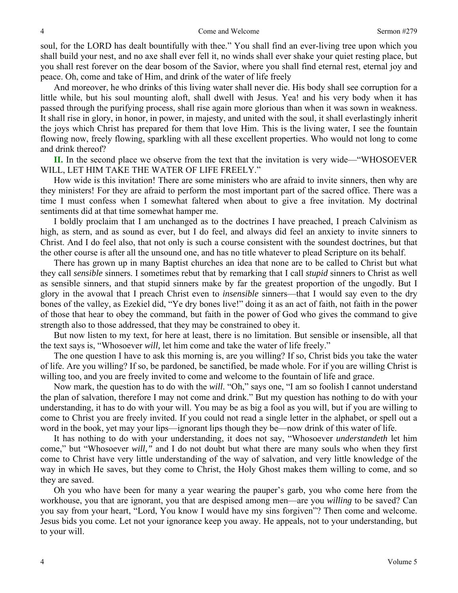soul, for the LORD has dealt bountifully with thee." You shall find an ever-living tree upon which you shall build your nest, and no axe shall ever fell it, no winds shall ever shake your quiet resting place, but you shall rest forever on the dear bosom of the Savior, where you shall find eternal rest, eternal joy and peace. Oh, come and take of Him, and drink of the water of life freely

And moreover, he who drinks of this living water shall never die. His body shall see corruption for a little while, but his soul mounting aloft, shall dwell with Jesus. Yea! and his very body when it has passed through the purifying process, shall rise again more glorious than when it was sown in weakness. It shall rise in glory, in honor, in power, in majesty, and united with the soul, it shall everlastingly inherit the joys which Christ has prepared for them that love Him. This is the living water, I see the fountain flowing now, freely flowing, sparkling with all these excellent properties. Who would not long to come and drink thereof?

**II.** In the second place we observe from the text that the invitation is very wide—"WHOSOEVER WILL, LET HIM TAKE THE WATER OF LIFE FREELY."

How wide is this invitation! There are some ministers who are afraid to invite sinners, then why are they ministers! For they are afraid to perform the most important part of the sacred office. There was a time I must confess when I somewhat faltered when about to give a free invitation. My doctrinal sentiments did at that time somewhat hamper me.

I boldly proclaim that I am unchanged as to the doctrines I have preached, I preach Calvinism as high, as stern, and as sound as ever, but I do feel, and always did feel an anxiety to invite sinners to Christ. And I do feel also, that not only is such a course consistent with the soundest doctrines, but that the other course is after all the unsound one, and has no title whatever to plead Scripture on its behalf.

There has grown up in many Baptist churches an idea that none are to be called to Christ but what they call *sensible* sinners. I sometimes rebut that by remarking that I call *stupid* sinners to Christ as well as sensible sinners, and that stupid sinners make by far the greatest proportion of the ungodly. But I glory in the avowal that I preach Christ even to *insensible* sinners—that I would say even to the dry bones of the valley, as Ezekiel did, "Ye dry bones live!" doing it as an act of faith, not faith in the power of those that hear to obey the command, but faith in the power of God who gives the command to give strength also to those addressed, that they may be constrained to obey it.

But now listen to my text, for here at least, there is no limitation. But sensible or insensible, all that the text says is, "Whosoever *will,* let him come and take the water of life freely."

The one question I have to ask this morning is, are you willing? If so, Christ bids you take the water of life. Are you willing? If so, be pardoned, be sanctified, be made whole. For if you are willing Christ is willing too, and you are freely invited to come and welcome to the fountain of life and grace.

Now mark, the question has to do with the *will*. "Oh," says one, "I am so foolish I cannot understand the plan of salvation, therefore I may not come and drink." But my question has nothing to do with your understanding, it has to do with your will. You may be as big a fool as you will, but if you are willing to come to Christ you are freely invited. If you could not read a single letter in the alphabet, or spell out a word in the book, yet may your lips—ignorant lips though they be—now drink of this water of life.

It has nothing to do with your understanding, it does not say, "Whosoever *understandeth* let him come," but "Whosoever *will,"* and I do not doubt but what there are many souls who when they first come to Christ have very little understanding of the way of salvation, and very little knowledge of the way in which He saves, but they come to Christ, the Holy Ghost makes them willing to come, and so they are saved.

Oh you who have been for many a year wearing the pauper's garb, you who come here from the workhouse, you that are ignorant, you that are despised among men—are you *willing* to be saved? Can you say from your heart, "Lord, You know I would have my sins forgiven"? Then come and welcome. Jesus bids you come. Let not your ignorance keep you away. He appeals, not to your understanding, but to your will.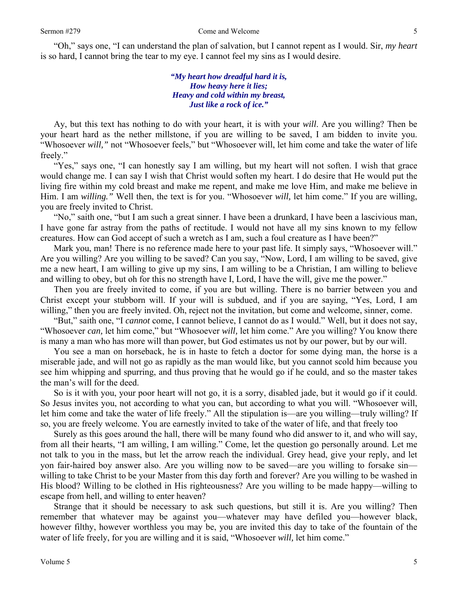"Oh," says one, "I can understand the plan of salvation, but I cannot repent as I would. Sir, *my heart* is so hard, I cannot bring the tear to my eye. I cannot feel my sins as I would desire.

> *"My heart how dreadful hard it is, How heavy here it lies; Heavy and cold within my breast, Just like a rock of ice."*

Ay, but this text has nothing to do with your heart, it is with your *will*. Are you willing? Then be your heart hard as the nether millstone, if you are willing to be saved, I am bidden to invite you. "Whosoever *will,"* not "Whosoever feels," but "Whosoever will, let him come and take the water of life freely."

"Yes," says one, "I can honestly say I am willing, but my heart will not soften. I wish that grace would change me. I can say I wish that Christ would soften my heart. I do desire that He would put the living fire within my cold breast and make me repent, and make me love Him, and make me believe in Him. I am *willing."* Well then, the text is for you. "Whosoever *will,* let him come." If you are willing, you are freely invited to Christ.

"No," saith one, "but I am such a great sinner. I have been a drunkard, I have been a lascivious man, I have gone far astray from the paths of rectitude. I would not have all my sins known to my fellow creatures. How can God accept of such a wretch as I am, such a foul creature as I have been?"

Mark you, man! There is no reference made here to your past life. It simply says, "Whosoever will." Are you willing? Are you willing to be saved? Can you say, "Now, Lord, I am willing to be saved, give me a new heart, I am willing to give up my sins, I am willing to be a Christian, I am willing to believe and willing to obey, but oh for this no strength have I, Lord, I have the will, give me the power."

Then you are freely invited to come, if you are but willing. There is no barrier between you and Christ except your stubborn will. If your will is subdued, and if you are saying, "Yes, Lord, I am willing," then you are freely invited. Oh, reject not the invitation, but come and welcome, sinner, come.

"But," saith one, "I *cannot* come, I cannot believe, I cannot do as I would." Well, but it does not say, "Whosoever *can,* let him come," but "Whosoever *will,* let him come." Are you willing? You know there is many a man who has more will than power, but God estimates us not by our power, but by our will.

You see a man on horseback, he is in haste to fetch a doctor for some dying man, the horse is a miserable jade, and will not go as rapidly as the man would like, but you cannot scold him because you see him whipping and spurring, and thus proving that he would go if he could, and so the master takes the man's will for the deed.

So is it with you, your poor heart will not go, it is a sorry, disabled jade, but it would go if it could. So Jesus invites you, not according to what you can, but according to what you will. "Whosoever will, let him come and take the water of life freely." All the stipulation is—are you willing—truly willing? If so, you are freely welcome. You are earnestly invited to take of the water of life, and that freely too

Surely as this goes around the hall, there will be many found who did answer to it, and who will say, from all their hearts, "I am willing, I am willing." Come, let the question go personally around. Let me not talk to you in the mass, but let the arrow reach the individual. Grey head, give your reply, and let yon fair-haired boy answer also. Are you willing now to be saved—are you willing to forsake sin willing to take Christ to be your Master from this day forth and forever? Are you willing to be washed in His blood? Willing to be clothed in His righteousness? Are you willing to be made happy—willing to escape from hell, and willing to enter heaven?

Strange that it should be necessary to ask such questions, but still it is. Are you willing? Then remember that whatever may be against you—whatever may have defiled you—however black, however filthy, however worthless you may be, you are invited this day to take of the fountain of the water of life freely, for you are willing and it is said, "Whosoever *will,* let him come."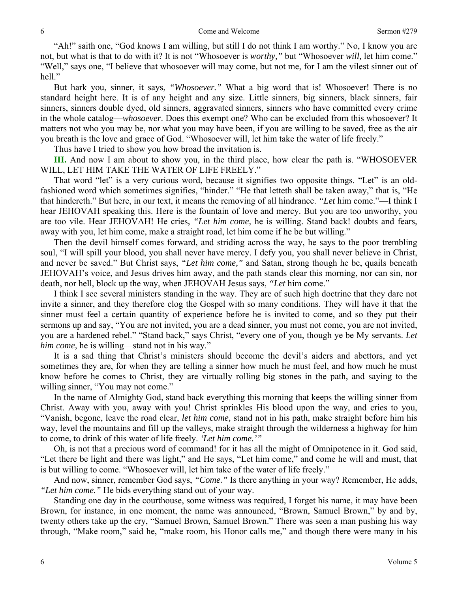"Ah!" saith one, "God knows I am willing, but still I do not think I am worthy." No, I know you are not, but what is that to do with it? It is not "Whosoever is *worthy,"* but "Whosoever *will,* let him come." "Well," says one, "I believe that whosoever will may come, but not me, for I am the vilest sinner out of hell."

But hark you, sinner, it says, *"Whosoever."* What a big word that is! Whosoever! There is no standard height here. It is of any height and any size. Little sinners, big sinners, black sinners, fair sinners, sinners double dyed, old sinners, aggravated sinners, sinners who have committed every crime in the whole catalog—*whosoever*. Does this exempt one? Who can be excluded from this whosoever? It matters not who you may be, nor what you may have been, if you are willing to be saved, free as the air you breath is the love and grace of God. "Whosoever will, let him take the water of life freely."

Thus have I tried to show you how broad the invitation is.

**III.** And now I am about to show you, in the third place, how clear the path is. "WHOSOEVER WILL, LET HIM TAKE THE WATER OF LIFE FREELY."

That word "let" is a very curious word, because it signifies two opposite things. "Let" is an oldfashioned word which sometimes signifies, "hinder." "He that letteth shall be taken away," that is, "He that hindereth." But here, in our text, it means the removing of all hindrance. *"Let* him come."—I think I hear JEHOVAH speaking this. Here is the fountain of love and mercy. But you are too unworthy, you are too vile. Hear JEHOVAH! He cries, *"Let him come,* he is willing. Stand back! doubts and fears, away with you, let him come, make a straight road, let him come if he be but willing."

Then the devil himself comes forward, and striding across the way, he says to the poor trembling soul, "I will spill your blood, you shall never have mercy. I defy you, you shall never believe in Christ, and never be saved." But Christ says, *"Let him come,"* and Satan, strong though he be, quails beneath JEHOVAH's voice, and Jesus drives him away, and the path stands clear this morning, nor can sin, nor death, nor hell, block up the way, when JEHOVAH Jesus says, *"Let* him come."

I think I see several ministers standing in the way. They are of such high doctrine that they dare not invite a sinner, and they therefore clog the Gospel with so many conditions. They will have it that the sinner must feel a certain quantity of experience before he is invited to come, and so they put their sermons up and say, "You are not invited, you are a dead sinner, you must not come, you are not invited, you are a hardened rebel." "Stand back," says Christ, "every one of you, though ye be My servants. *Let him come,* he is willing—stand not in his way."

It is a sad thing that Christ's ministers should become the devil's aiders and abettors, and yet sometimes they are, for when they are telling a sinner how much he must feel, and how much he must know before he comes to Christ, they are virtually rolling big stones in the path, and saying to the willing sinner, "You may not come."

In the name of Almighty God, stand back everything this morning that keeps the willing sinner from Christ. Away with you, away with you! Christ sprinkles His blood upon the way, and cries to you, "Vanish, begone, leave the road clear, *let him come,* stand not in his path, make straight before him his way, level the mountains and fill up the valleys, make straight through the wilderness a highway for him to come, to drink of this water of life freely. *'Let him come.'"*

Oh, is not that a precious word of command! for it has all the might of Omnipotence in it. God said, "Let there be light and there was light," and He says, "Let him come," and come he will and must, that is but willing to come. "Whosoever will, let him take of the water of life freely."

And now, sinner, remember God says, *"Come."* Is there anything in your way? Remember, He adds, *"Let him come."* He bids everything stand out of your way.

Standing one day in the courthouse, some witness was required, I forget his name, it may have been Brown, for instance, in one moment, the name was announced, "Brown, Samuel Brown," by and by, twenty others take up the cry, "Samuel Brown, Samuel Brown." There was seen a man pushing his way through, "Make room," said he, "make room, his Honor calls me," and though there were many in his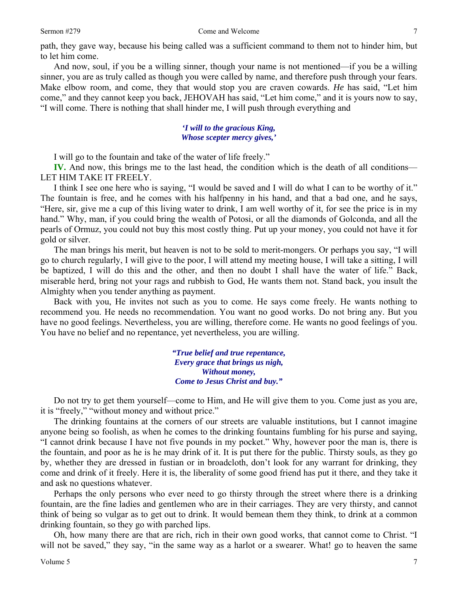path, they gave way, because his being called was a sufficient command to them not to hinder him, but to let him come.

And now, soul, if you be a willing sinner, though your name is not mentioned—if you be a willing sinner, you are as truly called as though you were called by name, and therefore push through your fears. Make elbow room, and come, they that would stop you are craven cowards. *He* has said, "Let him come," and they cannot keep you back, JEHOVAH has said, "Let him come," and it is yours now to say, "I will come. There is nothing that shall hinder me, I will push through everything and

#### *'I will to the gracious King, Whose scepter mercy gives,'*

I will go to the fountain and take of the water of life freely."

**IV.** And now, this brings me to the last head, the condition which is the death of all conditions— LET HIM TAKE IT FREELY.

I think I see one here who is saying, "I would be saved and I will do what I can to be worthy of it." The fountain is free, and he comes with his halfpenny in his hand, and that a bad one, and he says, "Here, sir, give me a cup of this living water to drink, I am well worthy of it, for see the price is in my hand." Why, man, if you could bring the wealth of Potosi, or all the diamonds of Golconda, and all the pearls of Ormuz, you could not buy this most costly thing. Put up your money, you could not have it for gold or silver.

The man brings his merit, but heaven is not to be sold to merit-mongers. Or perhaps you say, "I will go to church regularly, I will give to the poor, I will attend my meeting house, I will take a sitting, I will be baptized, I will do this and the other, and then no doubt I shall have the water of life." Back, miserable herd, bring not your rags and rubbish to God, He wants them not. Stand back, you insult the Almighty when you tender anything as payment.

Back with you, He invites not such as you to come. He says come freely. He wants nothing to recommend you. He needs no recommendation. You want no good works. Do not bring any. But you have no good feelings. Nevertheless, you are willing, therefore come. He wants no good feelings of you. You have no belief and no repentance, yet nevertheless, you are willing.

> *"True belief and true repentance, Every grace that brings us nigh, Without money, Come to Jesus Christ and buy."*

Do not try to get them yourself—come to Him, and He will give them to you. Come just as you are, it is "freely," "without money and without price."

The drinking fountains at the corners of our streets are valuable institutions, but I cannot imagine anyone being so foolish, as when he comes to the drinking fountains fumbling for his purse and saying, "I cannot drink because I have not five pounds in my pocket." Why, however poor the man is, there is the fountain, and poor as he is he may drink of it. It is put there for the public. Thirsty souls, as they go by, whether they are dressed in fustian or in broadcloth, don't look for any warrant for drinking, they come and drink of it freely. Here it is, the liberality of some good friend has put it there, and they take it and ask no questions whatever.

Perhaps the only persons who ever need to go thirsty through the street where there is a drinking fountain, are the fine ladies and gentlemen who are in their carriages. They are very thirsty, and cannot think of being so vulgar as to get out to drink. It would bemean them they think, to drink at a common drinking fountain, so they go with parched lips.

Oh, how many there are that are rich, rich in their own good works, that cannot come to Christ. "I will not be saved," they say, "in the same way as a harlot or a swearer. What! go to heaven the same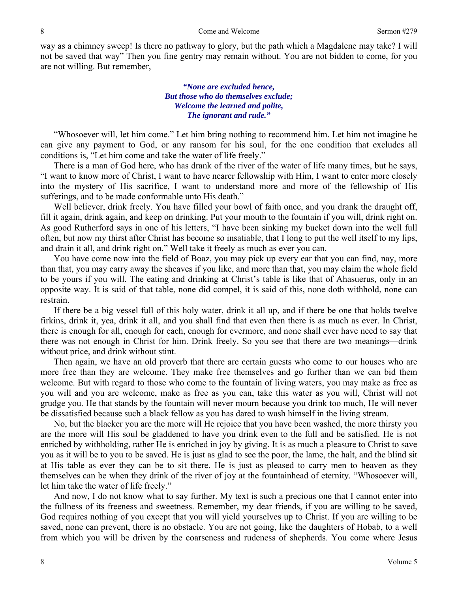way as a chimney sweep! Is there no pathway to glory, but the path which a Magdalene may take? I will not be saved that way" Then you fine gentry may remain without. You are not bidden to come, for you are not willing. But remember,

> *"None are excluded hence, But those who do themselves exclude; Welcome the learned and polite, The ignorant and rude."*

"Whosoever will, let him come." Let him bring nothing to recommend him. Let him not imagine he can give any payment to God, or any ransom for his soul, for the one condition that excludes all conditions is, "Let him come and take the water of life freely."

There is a man of God here, who has drank of the river of the water of life many times, but he says, "I want to know more of Christ, I want to have nearer fellowship with Him, I want to enter more closely into the mystery of His sacrifice, I want to understand more and more of the fellowship of His sufferings, and to be made conformable unto His death."

Well believer, drink freely. You have filled your bowl of faith once, and you drank the draught off, fill it again, drink again, and keep on drinking. Put your mouth to the fountain if you will, drink right on. As good Rutherford says in one of his letters, "I have been sinking my bucket down into the well full often, but now my thirst after Christ has become so insatiable, that I long to put the well itself to my lips, and drain it all, and drink right on." Well take it freely as much as ever you can.

You have come now into the field of Boaz, you may pick up every ear that you can find, nay, more than that, you may carry away the sheaves if you like, and more than that, you may claim the whole field to be yours if you will. The eating and drinking at Christ's table is like that of Ahasuerus, only in an opposite way. It is said of that table, none did compel, it is said of this, none doth withhold, none can restrain.

If there be a big vessel full of this holy water, drink it all up, and if there be one that holds twelve firkins, drink it, yea, drink it all, and you shall find that even then there is as much as ever. In Christ, there is enough for all, enough for each, enough for evermore, and none shall ever have need to say that there was not enough in Christ for him. Drink freely. So you see that there are two meanings—drink without price, and drink without stint.

Then again, we have an old proverb that there are certain guests who come to our houses who are more free than they are welcome. They make free themselves and go further than we can bid them welcome. But with regard to those who come to the fountain of living waters, you may make as free as you will and you are welcome, make as free as you can, take this water as you will, Christ will not grudge you. He that stands by the fountain will never mourn because you drink too much, He will never be dissatisfied because such a black fellow as you has dared to wash himself in the living stream.

No, but the blacker you are the more will He rejoice that you have been washed, the more thirsty you are the more will His soul be gladdened to have you drink even to the full and be satisfied. He is not enriched by withholding, rather He is enriched in joy by giving. It is as much a pleasure to Christ to save you as it will be to you to be saved. He is just as glad to see the poor, the lame, the halt, and the blind sit at His table as ever they can be to sit there. He is just as pleased to carry men to heaven as they themselves can be when they drink of the river of joy at the fountainhead of eternity. "Whosoever will, let him take the water of life freely."

And now, I do not know what to say further. My text is such a precious one that I cannot enter into the fullness of its freeness and sweetness. Remember, my dear friends, if you are willing to be saved, God requires nothing of you except that you will yield yourselves up to Christ. If you are willing to be saved, none can prevent, there is no obstacle. You are not going, like the daughters of Hobab, to a well from which you will be driven by the coarseness and rudeness of shepherds. You come where Jesus